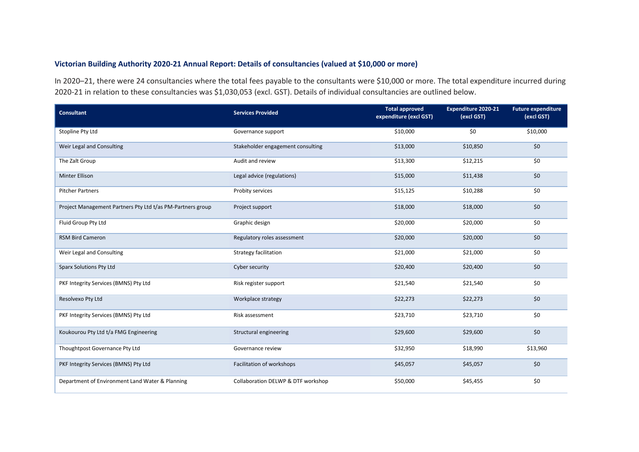## **Victorian Building Authority 2020-21 Annual Report: Details of consultancies (valued at \$10,000 or more)**

In 2020–21, there were 24 consultancies where the total fees payable to the consultants were \$10,000 or more. The total expenditure incurred during 2020-21 in relation to these consultancies was \$1,030,053 (excl. GST). Details of individual consultancies are outlined below.

| Consultant                                                 | <b>Services Provided</b>           | <b>Total approved</b><br>expenditure (excl GST) | <b>Expenditure 2020-21</b><br>(excl GST) | <b>Future expenditure</b><br>(excl GST) |
|------------------------------------------------------------|------------------------------------|-------------------------------------------------|------------------------------------------|-----------------------------------------|
| Stopline Pty Ltd                                           | Governance support                 | \$10,000                                        | \$0                                      | \$10,000                                |
| Weir Legal and Consulting                                  | Stakeholder engagement consulting  | \$13,000                                        | \$10,850                                 | \$0                                     |
| The Zalt Group                                             | Audit and review                   | \$13,300                                        | \$12,215                                 | \$0                                     |
| <b>Minter Ellison</b>                                      | Legal advice (regulations)         | \$15,000                                        | \$11,438                                 | \$0                                     |
| <b>Pitcher Partners</b>                                    | Probity services                   | \$15,125                                        | \$10,288                                 | \$0                                     |
| Project Management Partners Pty Ltd t/as PM-Partners group | Project support                    | \$18,000                                        | \$18,000                                 | \$0                                     |
| Fluid Group Pty Ltd                                        | Graphic design                     | \$20,000                                        | \$20,000                                 | \$0                                     |
| <b>RSM Bird Cameron</b>                                    | Regulatory roles assessment        | \$20,000                                        | \$20,000                                 | \$0                                     |
| Weir Legal and Consulting                                  | Strategy facilitation              | \$21,000                                        | \$21,000                                 | \$0                                     |
| <b>Sparx Solutions Pty Ltd</b>                             | Cyber security                     | \$20,400                                        | \$20,400                                 | \$0                                     |
| PKF Integrity Services (BMNS) Pty Ltd                      | Risk register support              | \$21,540                                        | \$21,540                                 | \$0                                     |
| Resolvexo Pty Ltd                                          | Workplace strategy                 | \$22,273                                        | \$22,273                                 | \$0                                     |
| PKF Integrity Services (BMNS) Pty Ltd                      | Risk assessment                    | \$23,710                                        | \$23,710                                 | \$0                                     |
| Koukourou Pty Ltd t/a FMG Engineering                      | Structural engineering             | \$29,600                                        | \$29,600                                 | \$0                                     |
| Thoughtpost Governance Pty Ltd                             | Governance review                  | \$32,950                                        | \$18,990                                 | \$13,960                                |
| PKF Integrity Services (BMNS) Pty Ltd                      | Facilitation of workshops          | \$45,057                                        | \$45,057                                 | \$0                                     |
| Department of Environment Land Water & Planning            | Collaboration DELWP & DTF workshop | \$50,000                                        | \$45,455                                 | \$0                                     |